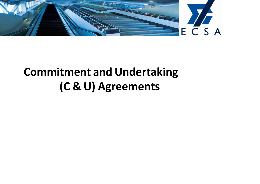

## **Commitment and Undertaking (C & U) Agreements**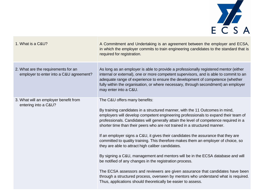

| 1. What is a C&U?                                                              | A Commitment and Undertaking is an agreement between the employer and ECSA,<br>in which the employer commits to train engineering candidates to the standard that is<br>required for registration.                                                                                                                                                                                                                                                                                                                                                                                                        |
|--------------------------------------------------------------------------------|-----------------------------------------------------------------------------------------------------------------------------------------------------------------------------------------------------------------------------------------------------------------------------------------------------------------------------------------------------------------------------------------------------------------------------------------------------------------------------------------------------------------------------------------------------------------------------------------------------------|
| 2. What are the requirements for an<br>employer to enter into a C&U agreement? | As long as an employer is able to provide a professionally registered mentor (either<br>internal or external), one or more competent supervisors, and is able to commit to an<br>adequate range of experience to ensure the development of competence (whether<br>fully within the organisation, or where necessary, through secondment) an employer<br>may enter into a C&U.                                                                                                                                                                                                                             |
| 3. What will an employer benefit from<br>entering into a C&U?                  | The C&U offers many benefits:<br>By training candidates in a structured manner, with the 11 Outcomes in mind,<br>employers will develop competent engineering professionals to expand their team of<br>professionals. Candidates will generally attain the level of competence required in a<br>shorter time than their peers who are not trained in a structured manner.<br>If an employer signs a C&U, it gives their candidates the assurance that they are<br>committed to quality training. This therefore makes them an employer of choice, so<br>they are able to attract high caliber candidates. |
|                                                                                | By signing a C&U, management and mentors will be in the ECSA database and will<br>be notified of any changes in the registration process.                                                                                                                                                                                                                                                                                                                                                                                                                                                                 |
|                                                                                | The ECSA assessors and reviewers are given assurance that candidates have been<br>through a structured process, overseen by mentors who understand what is required.<br>Thus, applications should theoretically be easier to assess.                                                                                                                                                                                                                                                                                                                                                                      |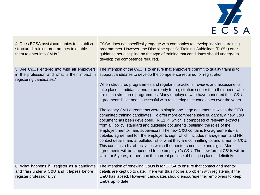

| 4. Does ECSA assist companies to establish<br>structured training programmes to enable<br>them to enter into C&Us?       | ECSA does not specifically engage with companies to develop individual training<br>programmes. However, the Discipline-specific Training Guidelines (R-05n) offer<br>guidance per discipline on the type of training that candidates should undergo to<br>develop the competence required.                                                                                                                                                                                                                                                                                                                                                                                                                                                                                                                                                                                                                                                                                                                                                                                                                                                                                                                                                                                                                                                                       |
|--------------------------------------------------------------------------------------------------------------------------|------------------------------------------------------------------------------------------------------------------------------------------------------------------------------------------------------------------------------------------------------------------------------------------------------------------------------------------------------------------------------------------------------------------------------------------------------------------------------------------------------------------------------------------------------------------------------------------------------------------------------------------------------------------------------------------------------------------------------------------------------------------------------------------------------------------------------------------------------------------------------------------------------------------------------------------------------------------------------------------------------------------------------------------------------------------------------------------------------------------------------------------------------------------------------------------------------------------------------------------------------------------------------------------------------------------------------------------------------------------|
| 5. Are C&Us entered into with all employers<br>in the profession and what is their impact in<br>registering candidates?  | The intention of the C&U is to ensure that employers commit to quality training to<br>support candidates to develop the competence required for registration.<br>When structured programmes and regular interactions, reviews and assessments<br>take place, candidates tend to be ready for registration sooner than their peers who<br>are not in structured programmes. Many employers who have honoured their C&U<br>agreements have been successful with registering their candidates over the years.<br>The legacy C&U agreements were a simple one-page document in which the CEO<br>committed training candidates. To offer more comprehensive guidance, a new C&U<br>document has been developed, (R 11 P) which is composed of relevant extracts<br>from all policy, standard and guideline documents, outlining the roles of the<br>employer, mentor and supervisors. The new C&U contains two agreements - a<br>detailed agreement for the employer to sign, which includes management and HR<br>contact details, and a bulleted list of what they are committing to, and a mentor C&U.<br>This contains a list of activities which the mentor commits to and signs. Mentor<br>agreements will be appended to the employer's C&U. The new format C&Us will be<br>valid for 5 years, rather than the current practice of being in place indefinitely. |
| 6. What happens if I register as a candidate<br>and train under a C&U and it lapses before I<br>register professionally? | The intention of renewing C&Us is for ECSA to ensure that contact and mentor<br>details are kept up to date. There will thus not be a problem with registering if the<br>C&U has lapsed. However, candidates should encourage their employers to keep<br>C&Us up to date.                                                                                                                                                                                                                                                                                                                                                                                                                                                                                                                                                                                                                                                                                                                                                                                                                                                                                                                                                                                                                                                                                        |